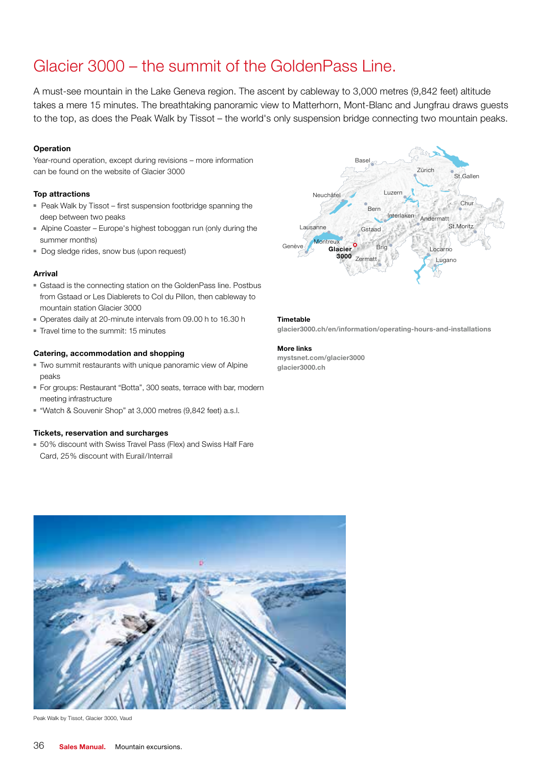# Glacier 3000 – the summit of the GoldenPass Line.

A must-see mountain in the Lake Geneva region. The ascent by cableway to 3,000 metres (9,842 feet) altitude takes a mere 15 minutes. The breathtaking panoramic view to Matterhorn, Mont-Blanc and Jungfrau draws guests to the top, as does the Peak Walk by Tissot – the world's only suspension bridge connecting two mountain peaks.

## **Operation**

Year-round operation, except during revisions – more information can be found on the website of Glacier 3000

## Top attractions

- Peak Walk by Tissot first suspension footbridge spanning the deep between two peaks
- Alpine Coaster Europe's highest toboggan run (only during the summer months)
- Dog sledge rides, snow bus (upon request)

## Arrival

- Gstaad is the connecting station on the GoldenPass line. Postbus from Gstaad or Les Diablerets to Col du Pillon, then cableway to mountain station Glacier 3000
- Operates daily at 20-minute intervals from 09.00 h to 16.30 h
- Travel time to the summit: 15 minutes

## Catering, accommodation and shopping

- Two summit restaurants with unique panoramic view of Alpine peaks
- For groups: Restaurant "Botta", 300 seats, terrace with bar, modern meeting infrastructure
- "Watch & Souvenir Shop" at 3,000 metres (9,842 feet) a.s.l.

#### Tickets, reservation and surcharges

■ 50% discount with Swiss Travel Pass (Flex) and Swiss Half Fare Card, 25% discount with Eurail/Interrail



#### Timetable

glacier3000.ch/en/information/operating-hours-and-installations

## More links

mystsnet.com/glacier3000 glacier3000.ch



Peak Walk by Tissot, Glacier 3000, Vaud